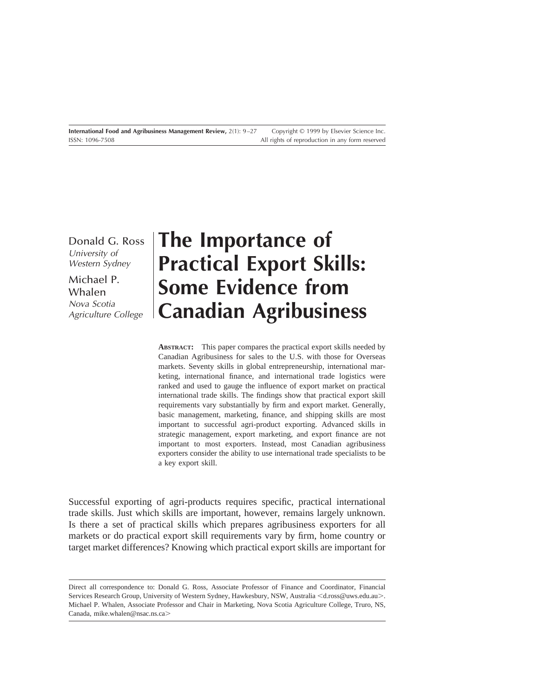Donald G. Ross University of Western Sydney

Michael P. Whalen Nova Scotia Agriculture College

# **The Importance of Practical Export Skills: Some Evidence from Canadian Agribusiness**

**ABSTRACT:** This paper compares the practical export skills needed by Canadian Agribusiness for sales to the U.S. with those for Overseas markets. Seventy skills in global entrepreneurship, international marketing, international finance, and international trade logistics were ranked and used to gauge the influence of export market on practical international trade skills. The findings show that practical export skill requirements vary substantially by firm and export market. Generally, basic management, marketing, finance, and shipping skills are most important to successful agri-product exporting. Advanced skills in strategic management, export marketing, and export finance are not important to most exporters. Instead, most Canadian agribusiness exporters consider the ability to use international trade specialists to be a key export skill.

Successful exporting of agri-products requires specific, practical international trade skills. Just which skills are important, however, remains largely unknown. Is there a set of practical skills which prepares agribusiness exporters for all markets or do practical export skill requirements vary by firm, home country or target market differences? Knowing which practical export skills are important for

Direct all correspondence to: Donald G. Ross, Associate Professor of Finance and Coordinator, Financial Services Research Group, University of Western Sydney, Hawkesbury, NSW, Australia <d.ross@uws.edu.au>. Michael P. Whalen, Associate Professor and Chair in Marketing, Nova Scotia Agriculture College, Truro, NS, Canada, mike.whalen@nsac.ns.ca>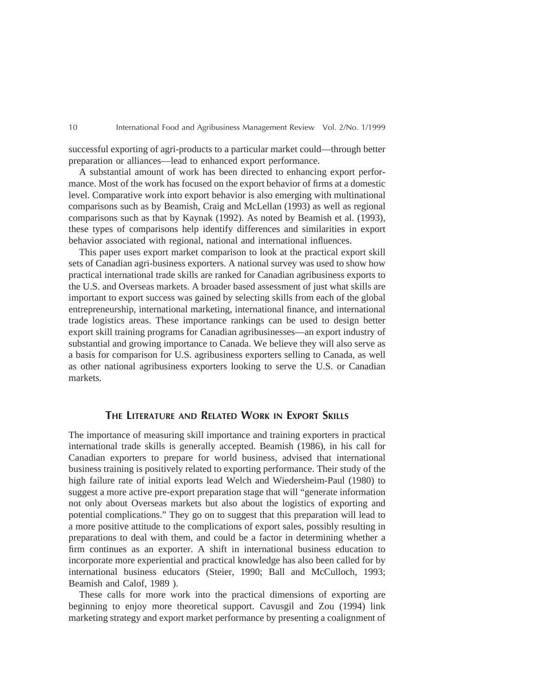successful exporting of agri-products to a particular market could—through better preparation or alliances—lead to enhanced export performance.

A substantial amount of work has been directed to enhancing export performance. Most of the work has focused on the export behavior of firms at a domestic level. Comparative work into export behavior is also emerging with multinational comparisons such as by Beamish, Craig and McLellan (1993) as well as regional comparisons such as that by Kaynak (1992). As noted by Beamish et al. (1993), these types of comparisons help identify differences and similarities in export behavior associated with regional, national and international influences.

This paper uses export market comparison to look at the practical export skill sets of Canadian agri-business exporters. A national survey was used to show how practical international trade skills are ranked for Canadian agribusiness exports to the U.S. and Overseas markets. A broader based assessment of just what skills are important to export success was gained by selecting skills from each of the global entrepreneurship, international marketing, international finance, and international trade logistics areas. These importance rankings can be used to design better export skill training programs for Canadian agribusinesses—an export industry of substantial and growing importance to Canada. We believe they will also serve as a basis for comparison for U.S. agribusiness exporters selling to Canada, as well as other national agribusiness exporters looking to serve the U.S. or Canadian markets.

#### **THE LITERATURE AND RELATED WORK IN EXPORT SKILLS**

The importance of measuring skill importance and training exporters in practical international trade skills is generally accepted. Beamish (1986), in his call for Canadian exporters to prepare for world business, advised that international business training is positively related to exporting performance. Their study of the high failure rate of initial exports lead Welch and Wiedersheim-Paul (1980) to suggest a more active pre-export preparation stage that will "generate information not only about Overseas markets but also about the logistics of exporting and potential complications." They go on to suggest that this preparation will lead to a more positive attitude to the complications of export sales, possibly resulting in preparations to deal with them, and could be a factor in determining whether a firm continues as an exporter. A shift in international business education to incorporate more experiential and practical knowledge has also been called for by international business educators (Steier, 1990; Ball and McCulloch, 1993; Beamish and Calof, 1989 ).

These calls for more work into the practical dimensions of exporting are beginning to enjoy more theoretical support. Cavusgil and Zou (1994) link marketing strategy and export market performance by presenting a coalignment of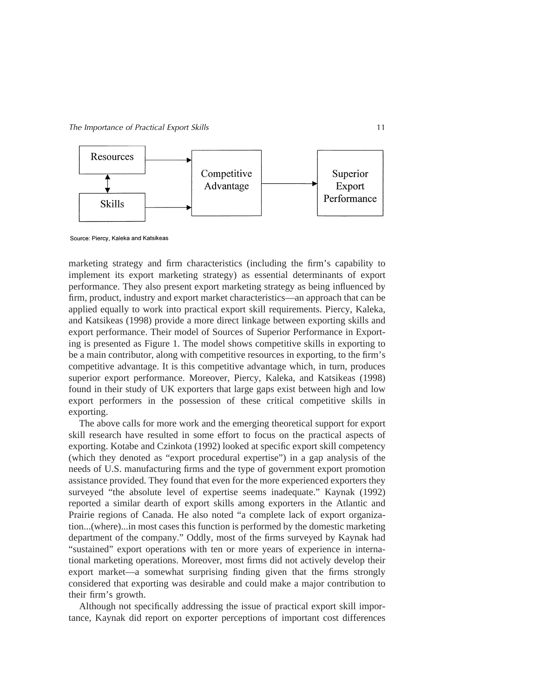

Source: Piercy, Kaleka and Katsikeas

marketing strategy and firm characteristics (including the firm's capability to implement its export marketing strategy) as essential determinants of export performance. They also present export marketing strategy as being influenced by firm, product, industry and export market characteristics—an approach that can be applied equally to work into practical export skill requirements. Piercy, Kaleka, and Katsikeas (1998) provide a more direct linkage between exporting skills and export performance. Their model of Sources of Superior Performance in Exporting is presented as Figure 1. The model shows competitive skills in exporting to be a main contributor, along with competitive resources in exporting, to the firm's competitive advantage. It is this competitive advantage which, in turn, produces superior export performance. Moreover, Piercy, Kaleka, and Katsikeas (1998) found in their study of UK exporters that large gaps exist between high and low export performers in the possession of these critical competitive skills in exporting.

The above calls for more work and the emerging theoretical support for export skill research have resulted in some effort to focus on the practical aspects of exporting. Kotabe and Czinkota (1992) looked at specific export skill competency (which they denoted as "export procedural expertise") in a gap analysis of the needs of U.S. manufacturing firms and the type of government export promotion assistance provided. They found that even for the more experienced exporters they surveyed "the absolute level of expertise seems inadequate." Kaynak (1992) reported a similar dearth of export skills among exporters in the Atlantic and Prairie regions of Canada. He also noted "a complete lack of export organization...(where)...in most cases this function is performed by the domestic marketing department of the company." Oddly, most of the firms surveyed by Kaynak had "sustained" export operations with ten or more years of experience in international marketing operations. Moreover, most firms did not actively develop their export market—a somewhat surprising finding given that the firms strongly considered that exporting was desirable and could make a major contribution to their firm's growth.

Although not specifically addressing the issue of practical export skill importance, Kaynak did report on exporter perceptions of important cost differences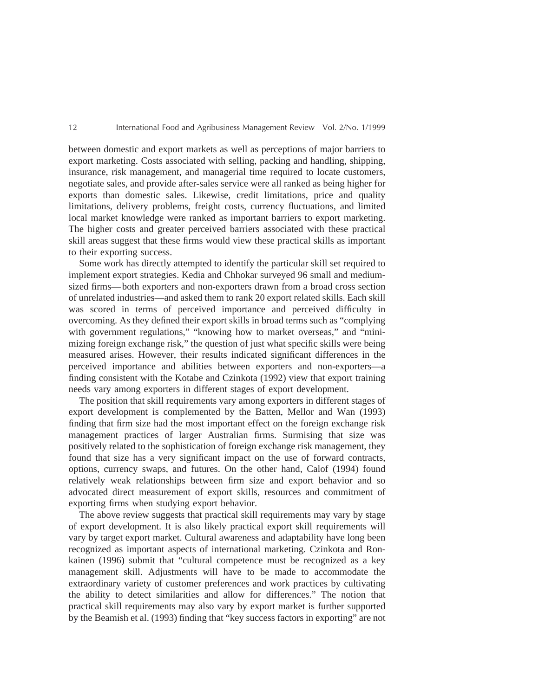between domestic and export markets as well as perceptions of major barriers to export marketing. Costs associated with selling, packing and handling, shipping, insurance, risk management, and managerial time required to locate customers, negotiate sales, and provide after-sales service were all ranked as being higher for exports than domestic sales. Likewise, credit limitations, price and quality limitations, delivery problems, freight costs, currency fluctuations, and limited local market knowledge were ranked as important barriers to export marketing. The higher costs and greater perceived barriers associated with these practical skill areas suggest that these firms would view these practical skills as important to their exporting success.

Some work has directly attempted to identify the particular skill set required to implement export strategies. Kedia and Chhokar surveyed 96 small and mediumsized firms—both exporters and non-exporters drawn from a broad cross section of unrelated industries—and asked them to rank 20 export related skills. Each skill was scored in terms of perceived importance and perceived difficulty in overcoming. As they defined their export skills in broad terms such as "complying with government regulations," "knowing how to market overseas," and "minimizing foreign exchange risk," the question of just what specific skills were being measured arises. However, their results indicated significant differences in the perceived importance and abilities between exporters and non-exporters—a finding consistent with the Kotabe and Czinkota (1992) view that export training needs vary among exporters in different stages of export development.

The position that skill requirements vary among exporters in different stages of export development is complemented by the Batten, Mellor and Wan (1993) finding that firm size had the most important effect on the foreign exchange risk management practices of larger Australian firms. Surmising that size was positively related to the sophistication of foreign exchange risk management, they found that size has a very significant impact on the use of forward contracts, options, currency swaps, and futures. On the other hand, Calof (1994) found relatively weak relationships between firm size and export behavior and so advocated direct measurement of export skills, resources and commitment of exporting firms when studying export behavior.

The above review suggests that practical skill requirements may vary by stage of export development. It is also likely practical export skill requirements will vary by target export market. Cultural awareness and adaptability have long been recognized as important aspects of international marketing. Czinkota and Ronkainen (1996) submit that "cultural competence must be recognized as a key management skill. Adjustments will have to be made to accommodate the extraordinary variety of customer preferences and work practices by cultivating the ability to detect similarities and allow for differences." The notion that practical skill requirements may also vary by export market is further supported by the Beamish et al. (1993) finding that "key success factors in exporting" are not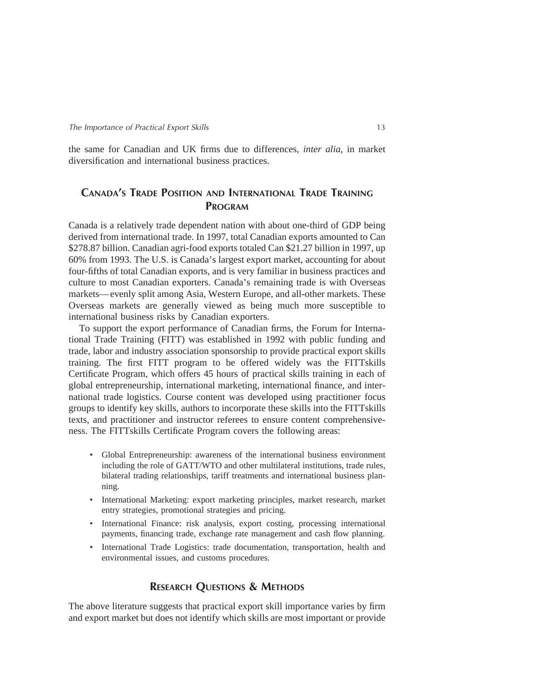the same for Canadian and UK firms due to differences, *inter alia*, in market diversification and international business practices.

## **CANADA'S TRADE POSITION AND INTERNATIONAL TRADE TRAINING PROGRAM**

Canada is a relatively trade dependent nation with about one-third of GDP being derived from international trade. In 1997, total Canadian exports amounted to Can \$278.87 billion. Canadian agri-food exports totaled Can \$21.27 billion in 1997, up 60% from 1993. The U.S. is Canada's largest export market, accounting for about four-fifths of total Canadian exports, and is very familiar in business practices and culture to most Canadian exporters. Canada's remaining trade is with Overseas markets—evenly split among Asia, Western Europe, and all-other markets. These Overseas markets are generally viewed as being much more susceptible to international business risks by Canadian exporters.

To support the export performance of Canadian firms, the Forum for International Trade Training (FITT) was established in 1992 with public funding and trade, labor and industry association sponsorship to provide practical export skills training. The first FITT program to be offered widely was the FITTskills Certificate Program, which offers 45 hours of practical skills training in each of global entrepreneurship, international marketing, international finance, and international trade logistics. Course content was developed using practitioner focus groups to identify key skills, authors to incorporate these skills into the FITTskills texts, and practitioner and instructor referees to ensure content comprehensiveness. The FITTskills Certificate Program covers the following areas:

- Global Entrepreneurship: awareness of the international business environment including the role of GATT/WTO and other multilateral institutions, trade rules, bilateral trading relationships, tariff treatments and international business planning.
- International Marketing: export marketing principles, market research, market entry strategies, promotional strategies and pricing.
- International Finance: risk analysis, export costing, processing international payments, financing trade, exchange rate management and cash flow planning.
- International Trade Logistics: trade documentation, transportation, health and environmental issues, and customs procedures.

## **RESEARCH QUESTIONS & METHODS**

The above literature suggests that practical export skill importance varies by firm and export market but does not identify which skills are most important or provide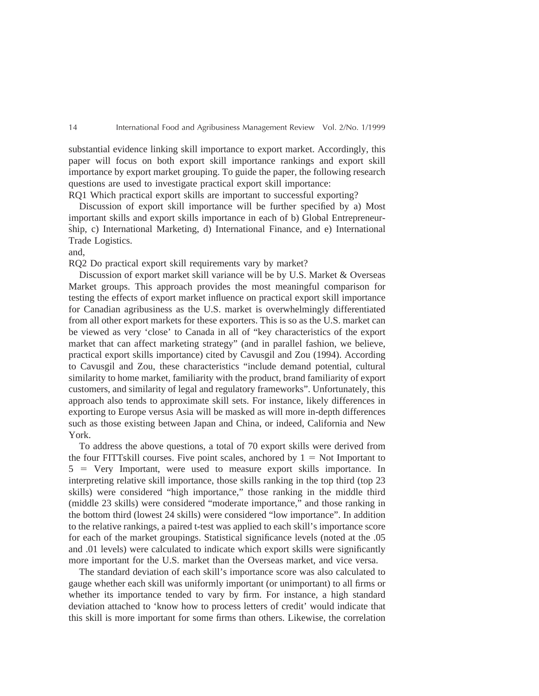substantial evidence linking skill importance to export market. Accordingly, this paper will focus on both export skill importance rankings and export skill importance by export market grouping. To guide the paper, the following research questions are used to investigate practical export skill importance:

RQ1 Which practical export skills are important to successful exporting?

Discussion of export skill importance will be further specified by a) Most important skills and export skills importance in each of b) Global Entrepreneurship, c) International Marketing, d) International Finance, and e) International Trade Logistics.

and,

RQ2 Do practical export skill requirements vary by market?

Discussion of export market skill variance will be by U.S. Market & Overseas Market groups. This approach provides the most meaningful comparison for testing the effects of export market influence on practical export skill importance for Canadian agribusiness as the U.S. market is overwhelmingly differentiated from all other export markets for these exporters. This is so as the U.S. market can be viewed as very 'close' to Canada in all of "key characteristics of the export market that can affect marketing strategy" (and in parallel fashion, we believe, practical export skills importance) cited by Cavusgil and Zou (1994). According to Cavusgil and Zou, these characteristics "include demand potential, cultural similarity to home market, familiarity with the product, brand familiarity of export customers, and similarity of legal and regulatory frameworks". Unfortunately, this approach also tends to approximate skill sets. For instance, likely differences in exporting to Europe versus Asia will be masked as will more in-depth differences such as those existing between Japan and China, or indeed, California and New York.

To address the above questions, a total of 70 export skills were derived from the four FITTskill courses. Five point scales, anchored by  $1 = Not$  Important to 5 5 Very Important, were used to measure export skills importance. In interpreting relative skill importance, those skills ranking in the top third (top 23 skills) were considered "high importance," those ranking in the middle third (middle 23 skills) were considered "moderate importance," and those ranking in the bottom third (lowest 24 skills) were considered "low importance". In addition to the relative rankings, a paired t-test was applied to each skill's importance score for each of the market groupings. Statistical significance levels (noted at the .05 and .01 levels) were calculated to indicate which export skills were significantly more important for the U.S. market than the Overseas market, and vice versa.

The standard deviation of each skill's importance score was also calculated to gauge whether each skill was uniformly important (or unimportant) to all firms or whether its importance tended to vary by firm. For instance, a high standard deviation attached to 'know how to process letters of credit' would indicate that this skill is more important for some firms than others. Likewise, the correlation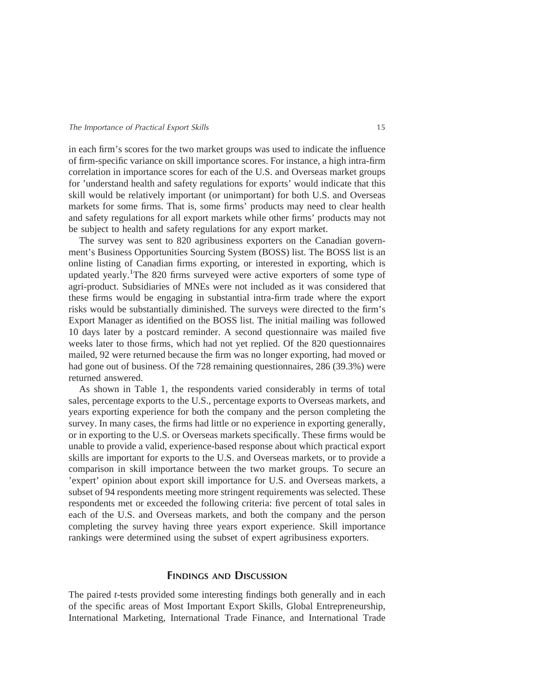in each firm's scores for the two market groups was used to indicate the influence of firm-specific variance on skill importance scores. For instance, a high intra-firm correlation in importance scores for each of the U.S. and Overseas market groups for 'understand health and safety regulations for exports' would indicate that this skill would be relatively important (or unimportant) for both U.S. and Overseas markets for some firms. That is, some firms' products may need to clear health and safety regulations for all export markets while other firms' products may not be subject to health and safety regulations for any export market.

The survey was sent to 820 agribusiness exporters on the Canadian government's Business Opportunities Sourcing System (BOSS) list. The BOSS list is an online listing of Canadian firms exporting, or interested in exporting, which is updated yearly.<sup>1</sup>The 820 firms surveyed were active exporters of some type of agri-product. Subsidiaries of MNEs were not included as it was considered that these firms would be engaging in substantial intra-firm trade where the export risks would be substantially diminished. The surveys were directed to the firm's Export Manager as identified on the BOSS list. The initial mailing was followed 10 days later by a postcard reminder. A second questionnaire was mailed five weeks later to those firms, which had not yet replied. Of the 820 questionnaires mailed, 92 were returned because the firm was no longer exporting, had moved or had gone out of business. Of the 728 remaining questionnaires, 286 (39.3%) were returned answered.

As shown in Table 1, the respondents varied considerably in terms of total sales, percentage exports to the U.S., percentage exports to Overseas markets, and years exporting experience for both the company and the person completing the survey. In many cases, the firms had little or no experience in exporting generally, or in exporting to the U.S. or Overseas markets specifically. These firms would be unable to provide a valid, experience-based response about which practical export skills are important for exports to the U.S. and Overseas markets, or to provide a comparison in skill importance between the two market groups. To secure an 'expert' opinion about export skill importance for U.S. and Overseas markets, a subset of 94 respondents meeting more stringent requirements was selected. These respondents met or exceeded the following criteria: five percent of total sales in each of the U.S. and Overseas markets, and both the company and the person completing the survey having three years export experience. Skill importance rankings were determined using the subset of expert agribusiness exporters.

#### **FINDINGS AND DISCUSSION**

The paired *t*-tests provided some interesting findings both generally and in each of the specific areas of Most Important Export Skills, Global Entrepreneurship, International Marketing, International Trade Finance, and International Trade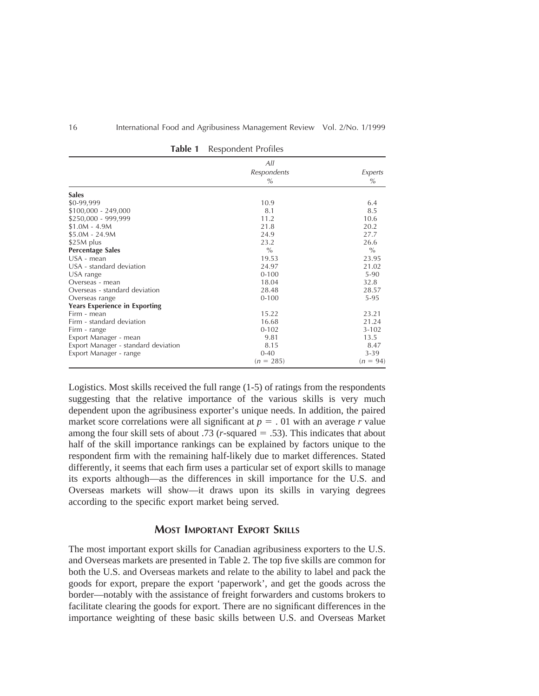|                                      | All         |            |
|--------------------------------------|-------------|------------|
|                                      | Respondents | Experts    |
|                                      | $\%$        | $\%$       |
| <b>Sales</b>                         |             |            |
| \$0-99,999                           | 10.9        | 6.4        |
| $$100,000 - 249,000$                 | 8.1         | 8.5        |
| \$250,000 - 999,999                  | 11.2        | 10.6       |
| $$1.0M - 4.9M$                       | 21.8        | 20.2       |
| $$5.0M - 24.9M$                      | 24.9        | 27.7       |
| \$25M plus                           | 23.2        | 26.6       |
| <b>Percentage Sales</b>              | $\%$        | $\%$       |
| USA - mean                           | 19.53       | 23.95      |
| USA - standard deviation             | 24.97       | 21.02      |
| USA range                            | $0 - 100$   | $5 - 90$   |
| Overseas - mean                      | 18.04       | 32.8       |
| Overseas - standard deviation        | 28.48       | 28.57      |
| Overseas range                       | $0 - 100$   | $5-95$     |
| <b>Years Experience in Exporting</b> |             |            |
| Firm - mean                          | 15.22       | 23.21      |
| Firm - standard deviation            | 16.68       | 21.24      |
| Firm - range                         | $0 - 102$   | $3 - 102$  |
| Export Manager - mean                | 9.81        | 13.5       |
| Export Manager - standard deviation  | 8.15        | 8.47       |
| Export Manager - range               | $0 - 40$    | $3-39$     |
|                                      | $(n = 285)$ | $(n = 94)$ |

**Table 1** Respondent Profiles

Logistics. Most skills received the full range (1-5) of ratings from the respondents suggesting that the relative importance of the various skills is very much dependent upon the agribusiness exporter's unique needs. In addition, the paired market score correlations were all significant at  $p = 0.01$  with an average *r* value among the four skill sets of about .73 ( $r$ -squared  $= .53$ ). This indicates that about half of the skill importance rankings can be explained by factors unique to the respondent firm with the remaining half-likely due to market differences. Stated differently, it seems that each firm uses a particular set of export skills to manage its exports although—as the differences in skill importance for the U.S. and Overseas markets will show—it draws upon its skills in varying degrees according to the specific export market being served.

## **MOST IMPORTANT EXPORT SKILLS**

The most important export skills for Canadian agribusiness exporters to the U.S. and Overseas markets are presented in Table 2. The top five skills are common for both the U.S. and Overseas markets and relate to the ability to label and pack the goods for export, prepare the export 'paperwork', and get the goods across the border—notably with the assistance of freight forwarders and customs brokers to facilitate clearing the goods for export. There are no significant differences in the importance weighting of these basic skills between U.S. and Overseas Market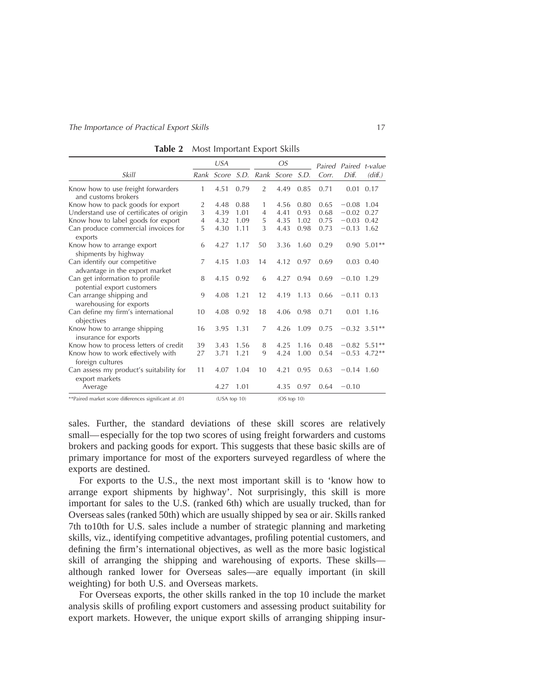|                                                                | <b>USA</b> |              |      | OS             |                 | Paired |       | Paired t-value |                |
|----------------------------------------------------------------|------------|--------------|------|----------------|-----------------|--------|-------|----------------|----------------|
| Skill                                                          |            | Rank Score   |      |                | S.D. Rank Score | S.D.   | Corr. | Diff.          | (diff.)        |
| Know how to use freight forwarders<br>and customs brokers      | 1          | 4.51         | 0.79 | 2              | 4.49            | 0.85   | 0.71  |                | $0.01$ 0.17    |
| Know how to pack goods for export                              | 2          | 4.48         | 0.88 | 1              | 4.56            | 0.80   | 0.65  | $-0.08$        | 1.04           |
| Understand use of certificates of origin                       | 3          | 4.39         | 1.01 | $\overline{4}$ | 4.41            | 0.93   | 0.68  | $-0.02$        | 0.27           |
| Know how to label goods for export                             | 4          | 4.32         | 1.09 | 5              | 4.35            | 1.02   | 0.75  | $-0.03$        | 0.42           |
| Can produce commercial invoices for<br>exports                 | 5          | 4.30         | 1.11 | 3              | 4.43            | 0.98   | 0.73  | $-0.13$        | 1.62           |
| Know how to arrange export<br>shipments by highway             | 6          | 4.27         | 1.17 | 50             | 3.36            | 1.60   | 0.29  |                | $0.90\ 5.01**$ |
| Can identify our competitive<br>advantage in the export market | 7          | 4.15         | 1.03 | 14             | 4.12            | 0.97   | 0.69  |                | $0.03$ 0.40    |
| Can get information to profile<br>potential export customers   | 8          | 4.15         | 0.92 | 6              | 4.27            | 0.94   | 0.69  | $-0.10$ 1.29   |                |
| Can arrange shipping and<br>warehousing for exports            | 9          | 4.08         | 1.21 | 12             | 4.19            | 1.13   | 0.66  | $-0.11$        | 0.13           |
| Can define my firm's international<br>objectives               | 10         | 4.08         | 0.92 | 18             | 4.06            | 0.98   | 0.71  | 0.01           | 1.16           |
| Know how to arrange shipping<br>insurance for exports          | 16         | 3.95         | 1.31 | 7              | 4.26            | 1.09   | 0.75  | $-0.32$        | $3.51**$       |
| Know how to process letters of credit                          | 39         | 3.43         | 1.56 | 8              | 4.25            | 1.16   | 0.48  | $-0.82$        | $5.51**$       |
| Know how to work effectively with<br>foreign cultures          | 27         | 3.71         | 1.21 | 9              | 4.24            | 1.00   | 0.54  | $-0.53$        | $4.72**$       |
| Can assess my product's suitability for<br>export markets      | 11         | 4.07         | 1.04 | 10             | 4.21            | 0.95   | 0.63  | $-0.14$ 1.60   |                |
| Average                                                        |            | 4.27         | 1.01 |                | 4.35            | 0.97   | 0.64  | $-0.10$        |                |
| **Paired market score differences significant at .01           |            | (USA top 10) |      |                | (OS top 10)     |        |       |                |                |

**Table 2** Most Important Export Skills

sales. Further, the standard deviations of these skill scores are relatively small—especially for the top two scores of using freight forwarders and customs brokers and packing goods for export. This suggests that these basic skills are of primary importance for most of the exporters surveyed regardless of where the exports are destined.

For exports to the U.S., the next most important skill is to 'know how to arrange export shipments by highway'. Not surprisingly, this skill is more important for sales to the U.S. (ranked 6th) which are usually trucked, than for Overseas sales (ranked 50th) which are usually shipped by sea or air. Skills ranked 7th to10th for U.S. sales include a number of strategic planning and marketing skills, viz., identifying competitive advantages, profiling potential customers, and defining the firm's international objectives, as well as the more basic logistical skill of arranging the shipping and warehousing of exports. These skills although ranked lower for Overseas sales—are equally important (in skill weighting) for both U.S. and Overseas markets.

For Overseas exports, the other skills ranked in the top 10 include the market analysis skills of profiling export customers and assessing product suitability for export markets. However, the unique export skills of arranging shipping insur-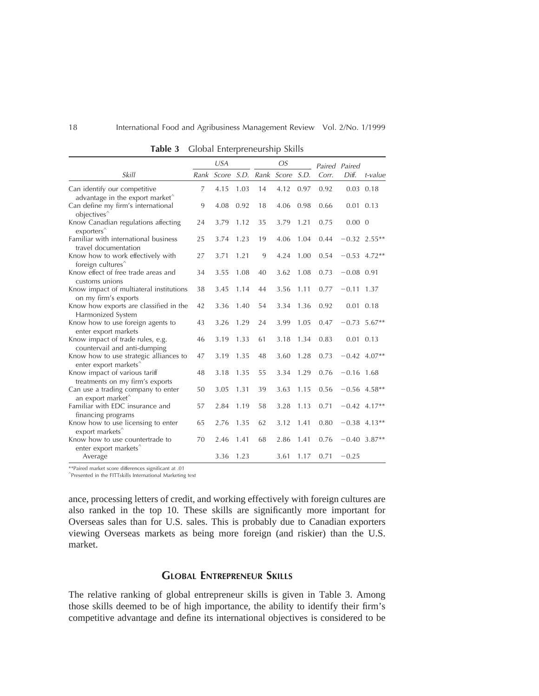|                                                                             |    | <b>USA</b> |      |    | OS         |      |       | Paired Paired     |                |
|-----------------------------------------------------------------------------|----|------------|------|----|------------|------|-------|-------------------|----------------|
| Skill                                                                       |    | Rank Score | S.D. |    | Rank Score | S.D. | Corr. | Diff.             | t-value        |
| Can identify our competitive<br>advantage in the export market <sup>^</sup> | 7  | 4.15       | 1.03 | 14 | 4.12       | 0.97 | 0.92  |                   | $0.03$ $0.18$  |
| Can define my firm's international<br>objectives <sup>^</sup>               | 9  | 4.08       | 0.92 | 18 | 4.06       | 0.98 | 0.66  | $0.01 \quad 0.13$ |                |
| Know Canadian regulations affecting<br>$exporters^{\wedge}$                 | 24 | 3.79       | 1.12 | 35 | 3.79       | 1.21 | 0.75  | $0.00 \quad 0$    |                |
| Familiar with international business<br>travel documentation                | 25 | 3.74       | 1.23 | 19 | 4.06       | 1.04 | 0.44  |                   | $-0.32$ 2.55** |
| Know how to work effectively with<br>foreign cultures <sup>^</sup>          | 27 | 3.71       | 1.21 | 9  | 4.24       | 1.00 | 0.54  |                   | $-0.53$ 4.72** |
| Know effect of free trade areas and<br>customs unions                       | 34 | 3.55       | 1.08 | 40 | 3.62       | 1.08 | 0.73  | $-0.08$ 0.91      |                |
| Know impact of multiateral institutions<br>on my firm's exports             | 38 | 3.45       | 1.14 | 44 | 3.56       | 1.11 | 0.77  | $-0.11$           | 1.37           |
| Know how exports are classified in the<br>Harmonized System                 | 42 | 3.36       | 1.40 | 54 | 3.34       | 1.36 | 0.92  | 0.01              | 0.18           |
| Know how to use foreign agents to<br>enter export markets                   | 43 | 3.26       | 1.29 | 24 | 3.99       | 1.05 | 0.47  | $-0.73$           | $5.67**$       |
| Know impact of trade rules, e.g.<br>countervail and anti-dumping            | 46 | 3.19       | 1.33 | 61 | 3.18       | 1.34 | 0.83  | 0.01              | 0.13           |
| Know how to use strategic alliances to<br>enter export markets <sup>^</sup> | 47 | 3.19       | 1.35 | 48 | 3.60       | 1.28 | 0.73  |                   | $-0.42$ 4.07** |
| Know impact of various tariff<br>treatments on my firm's exports            | 48 | 3.18       | 1.35 | 55 | 3.34       | 1.29 | 0.76  | $-0.16$ 1.68      |                |
| Can use a trading company to enter<br>an export market                      | 50 | 3.05       | 1.31 | 39 | 3.63       | 1.15 | 0.56  |                   | $-0.56$ 4.58** |
| Familiar with EDC insurance and<br>financing programs                       | 57 | 2.84       | 1.19 | 58 | 3.28       | 1.13 | 0.71  |                   | $-0.42$ 4.17** |
| Know how to use licensing to enter<br>export markets <sup>^</sup>           | 65 | 2.76       | 1.35 | 62 | 3.12       | 1.41 | 0.80  |                   | $-0.38$ 4.13** |
| Know how to use countertrade to<br>enter export markets <sup>^</sup>        | 70 | 2.46       | 1.41 | 68 | 2.86       | 1.41 | 0.76  |                   | $-0.40$ 3.87** |
| Average                                                                     |    | 3.36       | 1.23 |    | 3.61       | 1.17 | 0.71  | $-0.25$           |                |

**Table 3** Global Enterpreneurship Skills

\*\*Paired market score differences significant at .01

^Presented in the FITTskills International Marketing text

ance, processing letters of credit, and working effectively with foreign cultures are also ranked in the top 10. These skills are significantly more important for Overseas sales than for U.S. sales. This is probably due to Canadian exporters viewing Overseas markets as being more foreign (and riskier) than the U.S. market.

## **GLOBAL ENTREPRENEUR SKILLS**

The relative ranking of global entrepreneur skills is given in Table 3. Among those skills deemed to be of high importance, the ability to identify their firm's competitive advantage and define its international objectives is considered to be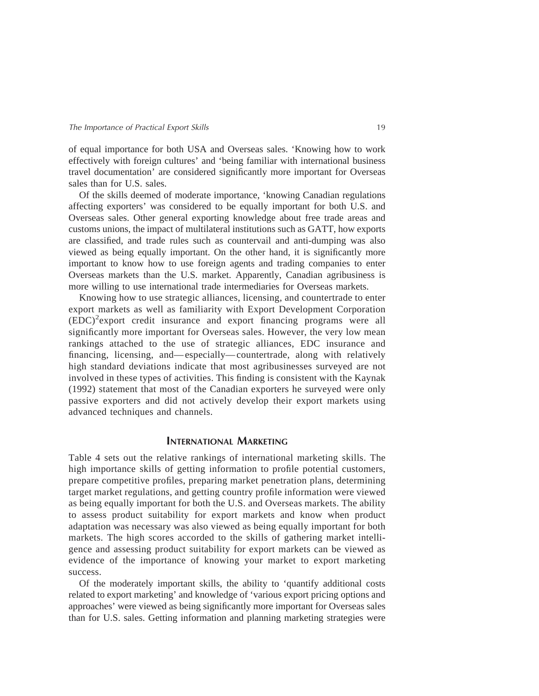of equal importance for both USA and Overseas sales. 'Knowing how to work effectively with foreign cultures' and 'being familiar with international business travel documentation' are considered significantly more important for Overseas sales than for U.S. sales.

Of the skills deemed of moderate importance, 'knowing Canadian regulations affecting exporters' was considered to be equally important for both U.S. and Overseas sales. Other general exporting knowledge about free trade areas and customs unions, the impact of multilateral institutions such as GATT, how exports are classified, and trade rules such as countervail and anti-dumping was also viewed as being equally important. On the other hand, it is significantly more important to know how to use foreign agents and trading companies to enter Overseas markets than the U.S. market. Apparently, Canadian agribusiness is more willing to use international trade intermediaries for Overseas markets.

Knowing how to use strategic alliances, licensing, and countertrade to enter export markets as well as familiarity with Export Development Corporation (EDC)<sup>2</sup> export credit insurance and export financing programs were all significantly more important for Overseas sales. However, the very low mean rankings attached to the use of strategic alliances, EDC insurance and financing, licensing, and—especially—countertrade, along with relatively high standard deviations indicate that most agribusinesses surveyed are not involved in these types of activities. This finding is consistent with the Kaynak (1992) statement that most of the Canadian exporters he surveyed were only passive exporters and did not actively develop their export markets using advanced techniques and channels.

#### **INTERNATIONAL MARKETING**

Table 4 sets out the relative rankings of international marketing skills. The high importance skills of getting information to profile potential customers, prepare competitive profiles, preparing market penetration plans, determining target market regulations, and getting country profile information were viewed as being equally important for both the U.S. and Overseas markets. The ability to assess product suitability for export markets and know when product adaptation was necessary was also viewed as being equally important for both markets. The high scores accorded to the skills of gathering market intelligence and assessing product suitability for export markets can be viewed as evidence of the importance of knowing your market to export marketing success.

Of the moderately important skills, the ability to 'quantify additional costs related to export marketing' and knowledge of 'various export pricing options and approaches' were viewed as being significantly more important for Overseas sales than for U.S. sales. Getting information and planning marketing strategies were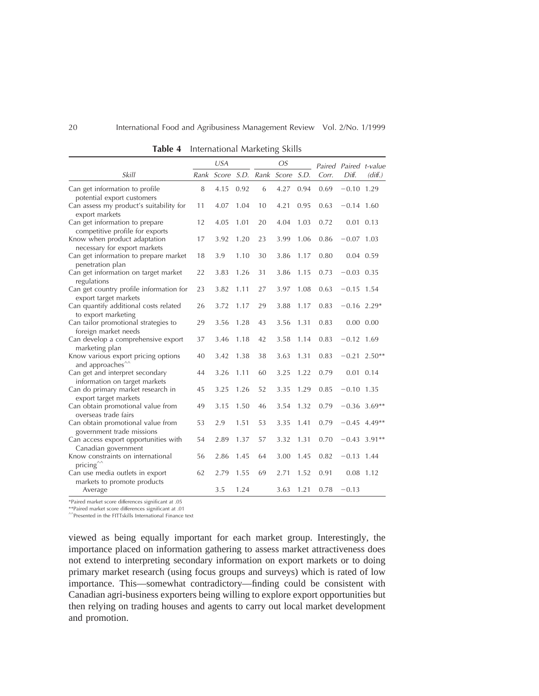|                                                                     |    | <b>USA</b> |      | OS |            | Paired Paired t-value |       |               |                |
|---------------------------------------------------------------------|----|------------|------|----|------------|-----------------------|-------|---------------|----------------|
| <b>Skill</b>                                                        |    | Rank Score | S.D. |    | Rank Score | S.D.                  | Corr. | Diff.         | (diff.)        |
| Can get information to profile<br>potential export customers        | 8  | 4.15       | 0.92 | 6  | 4.27       | 0.94                  | 0.69  | $-0.10$ 1.29  |                |
| Can assess my product's suitability for<br>export markets           | 11 | 4.07       | 1.04 | 10 | 4.21       | 0.95                  | 0.63  | $-0.14$ 1.60  |                |
| Can get information to prepare<br>competitive profile for exports   | 12 | 4.05       | 1.01 | 20 | 4.04       | 1.03                  | 0.72  | 0.01          | 0.13           |
| Know when product adaptation<br>necessary for export markets        | 17 | 3.92       | 1.20 | 23 | 3.99       | 1.06                  | 0.86  | $-0.07$ 1.03  |                |
| Can get information to prepare market<br>penetration plan           | 18 | 3.9        | 1.10 | 30 | 3.86       | 1.17                  | 0.80  |               | 0.04 0.59      |
| Can get information on target market<br>regulations                 | 22 | 3.83       | 1.26 | 31 | 3.86       | 1.15                  | 0.73  | $-0.03$ 0.35  |                |
| Can get country profile information for<br>export target markets    | 23 | 3.82       | 1.11 | 27 | 3.97       | 1.08                  | 0.63  | $-0.15$ 1.54  |                |
| Can quantify additional costs related<br>to export marketing        | 26 | 3.72       | 1.17 | 29 | 3.88       | 1.17                  | 0.83  | $-0.16$ 2.29* |                |
| Can tailor promotional strategies to<br>foreign market needs        | 29 | 3.56       | 1.28 | 43 | 3.56       | 1.31                  | 0.83  |               | $0.00\ 0.00$   |
| Can develop a comprehensive export<br>marketing plan                | 37 | 3.46       | 1.18 | 42 | 3.58       | 1.14                  | 0.83  | $-0.12$ 1.69  |                |
| Know various export pricing options<br>and approaches <sup>^^</sup> | 40 | 3.42       | 1.38 | 38 | 3.63       | 1.31                  | 0.83  | $-0.21$       | $2.50**$       |
| Can get and interpret secondary<br>information on target markets    | 44 | 3.26       | 1.11 | 60 | 3.25       | 1.22                  | 0.79  | 0.01          | 0.14           |
| Can do primary market research in<br>export target markets          | 45 | 3.25       | 1.26 | 52 | 3.35       | 1.29                  | 0.85  | $-0.10$ 1.35  |                |
| Can obtain promotional value from<br>overseas trade fairs           | 49 | 3.15       | 1.50 | 46 | 3.54       | 1.32                  | 0.79  |               | $-0.36$ 3.69** |
| Can obtain promotional value from<br>government trade missions      | 53 | 2.9        | 1.51 | 53 | 3.35       | 1.41                  | 0.79  |               | $-0.45$ 4.49** |
| Can access export opportunities with<br>Canadian government         | 54 | 2.89       | 1.37 | 57 | 3.32       | 1.31                  | 0.70  | $-0.43$       | $3.91**$       |
| Know constraints on international<br>pricing <sup>^^</sup>          | 56 | 2.86       | 1.45 | 64 | 3.00       | 1.45                  | 0.82  | $-0.13$ 1.44  |                |
| Can use media outlets in export<br>markets to promote products      | 62 | 2.79       | 1.55 | 69 | 2.71       | 1.52                  | 0.91  | $0.08$ 1.12   |                |
| Average                                                             |    | 3.5        | 1.24 |    | 3.63       | 1.21                  | 0.78  | $-0.13$       |                |

**Table 4** International Marketing Skills

\*Paired market score differences significant at .05

\*\*Paired market score differences significant at .01

^^Presented in the FITTskills International Finance text

viewed as being equally important for each market group. Interestingly, the importance placed on information gathering to assess market attractiveness does not extend to interpreting secondary information on export markets or to doing primary market research (using focus groups and surveys) which is rated of low importance. This—somewhat contradictory—finding could be consistent with Canadian agri-business exporters being willing to explore export opportunities but then relying on trading houses and agents to carry out local market development and promotion.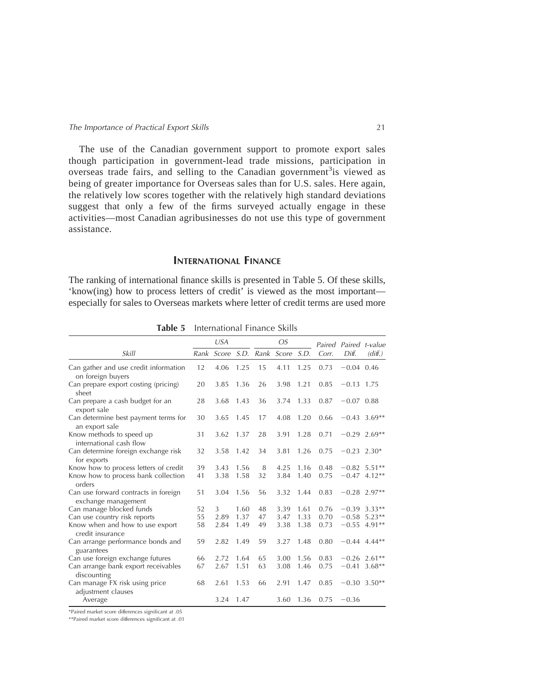The use of the Canadian government support to promote export sales though participation in government-lead trade missions, participation in overseas trade fairs, and selling to the Canadian government<sup>3</sup>is viewed as being of greater importance for Overseas sales than for U.S. sales. Here again, the relatively low scores together with the relatively high standard deviations suggest that only a few of the firms surveyed actually engage in these activities—most Canadian agribusinesses do not use this type of government assistance.

## **INTERNATIONAL FINANCE**

The ranking of international finance skills is presented in Table 5. Of these skills, 'know(ing) how to process letters of credit' is viewed as the most important especially for sales to Overseas markets where letter of credit terms are used more

|                                                             | <b>USA</b> |                            |      |    | OS   |      |       | Paired Paired t-value |                |
|-------------------------------------------------------------|------------|----------------------------|------|----|------|------|-------|-----------------------|----------------|
| <b>Skill</b>                                                |            | Rank Score S.D. Rank Score |      |    |      | S.D. | Corr. | Diff.                 | (diff.)        |
| Can gather and use credit information<br>on foreign buyers  | 12         | 4.06                       | 1.25 | 15 | 4.11 | 1.25 | 0.73  | $-0.04$ 0.46          |                |
| Can prepare export costing (pricing)<br>sheet               | 20         | 3.85                       | 1.36 | 26 | 3.98 | 1.21 | 0.85  | $-0.13$ 1.75          |                |
| Can prepare a cash budget for an<br>export sale             | 28         | 3.68                       | 1.43 | 36 | 3.74 | 1.33 | 0.87  | $-0.07$ 0.88          |                |
| Can determine best payment terms for<br>an export sale      | 30         | 3.65                       | 1.45 | 17 | 4.08 | 1.20 | 0.66  |                       | $-0.43$ 3.69** |
| Know methods to speed up<br>international cash flow         | 31         | 3.62                       | 1.37 | 28 | 3.91 | 1.28 | 0.71  |                       | $-0.29$ 2.69** |
| Can determine foreign exchange risk<br>for exports          | 32         | 3.58                       | 1.42 | 34 | 3.81 | 1.26 | 0.75  | $-0.23$ 2.30*         |                |
| Know how to process letters of credit                       | 39         | 3.43                       | 1.56 | 8  | 4.25 | 1.16 | 0.48  | $-0.82$               | $5.51**$       |
| Know how to process bank collection<br>orders               | 41         | 3.38                       | 1.58 | 32 | 3.84 | 1.40 | 0.75  |                       | $-0.47$ 4.12** |
| Can use forward contracts in foreign<br>exchange management | 51         | 3.04                       | 1.56 | 56 | 3.32 | 1.44 | 0.83  |                       | $-0.28$ 2.97** |
| Can manage blocked funds                                    | 52         | 3                          | 1.60 | 48 | 3.39 | 1.61 | 0.76  |                       | $-0.39$ 3.33** |
| Can use country risk reports                                | 55         | 2.89                       | 1.37 | 47 | 3.47 | 1.33 | 0.70  | $-0.58$               | $5.23**$       |
| Know when and how to use export<br>credit insurance         | 58         | 2.84                       | 1.49 | 49 | 3.38 | 1.38 | 0.73  |                       | $-0.55$ 4.91** |
| Can arrange performance bonds and<br>guarantees             | 59         | 2.82                       | 1.49 | 59 | 3.27 | 1.48 | 0.80  |                       | $-0.44$ 4.44** |
| Can use foreign exchange futures                            | 66         | 2.72                       | 1.64 | 65 | 3.00 | 1.56 | 0.83  |                       | $-0.26$ 2.61** |
| Can arrange bank export receivables<br>discounting          | 67         | 2.67                       | 1.51 | 63 | 3.08 | 1.46 | 0.75  | $-0.41$               | $3.68**$       |
| Can manage FX risk using price<br>adjustment clauses        | 68         | 2.61                       | 1.53 | 66 | 2.91 | 1.47 | 0.85  |                       | $-0.30$ 3.50** |
| Average                                                     |            | 3.24                       | 1.47 |    | 3.60 | 1.36 | 0.75  | $-0.36$               |                |

**Table 5** International Finance Skills

\*Paired market score differences significant at .05

\*\*Paired market score differences significant at .01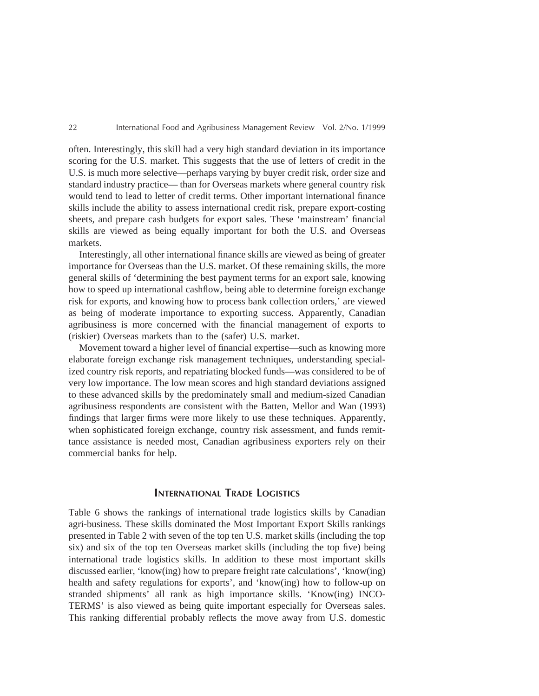often. Interestingly, this skill had a very high standard deviation in its importance scoring for the U.S. market. This suggests that the use of letters of credit in the U.S. is much more selective—perhaps varying by buyer credit risk, order size and standard industry practice— than for Overseas markets where general country risk would tend to lead to letter of credit terms. Other important international finance skills include the ability to assess international credit risk, prepare export-costing sheets, and prepare cash budgets for export sales. These 'mainstream' financial skills are viewed as being equally important for both the U.S. and Overseas markets.

Interestingly, all other international finance skills are viewed as being of greater importance for Overseas than the U.S. market. Of these remaining skills, the more general skills of 'determining the best payment terms for an export sale, knowing how to speed up international cashflow, being able to determine foreign exchange risk for exports, and knowing how to process bank collection orders,' are viewed as being of moderate importance to exporting success. Apparently, Canadian agribusiness is more concerned with the financial management of exports to (riskier) Overseas markets than to the (safer) U.S. market.

Movement toward a higher level of financial expertise—such as knowing more elaborate foreign exchange risk management techniques, understanding specialized country risk reports, and repatriating blocked funds—was considered to be of very low importance. The low mean scores and high standard deviations assigned to these advanced skills by the predominately small and medium-sized Canadian agribusiness respondents are consistent with the Batten, Mellor and Wan (1993) findings that larger firms were more likely to use these techniques. Apparently, when sophisticated foreign exchange, country risk assessment, and funds remittance assistance is needed most, Canadian agribusiness exporters rely on their commercial banks for help.

## **INTERNATIONAL TRADE LOGISTICS**

Table 6 shows the rankings of international trade logistics skills by Canadian agri-business. These skills dominated the Most Important Export Skills rankings presented in Table 2 with seven of the top ten U.S. market skills (including the top six) and six of the top ten Overseas market skills (including the top five) being international trade logistics skills. In addition to these most important skills discussed earlier, 'know(ing) how to prepare freight rate calculations', 'know(ing) health and safety regulations for exports', and 'know(ing) how to follow-up on stranded shipments' all rank as high importance skills. 'Know(ing) INCO-TERMS' is also viewed as being quite important especially for Overseas sales. This ranking differential probably reflects the move away from U.S. domestic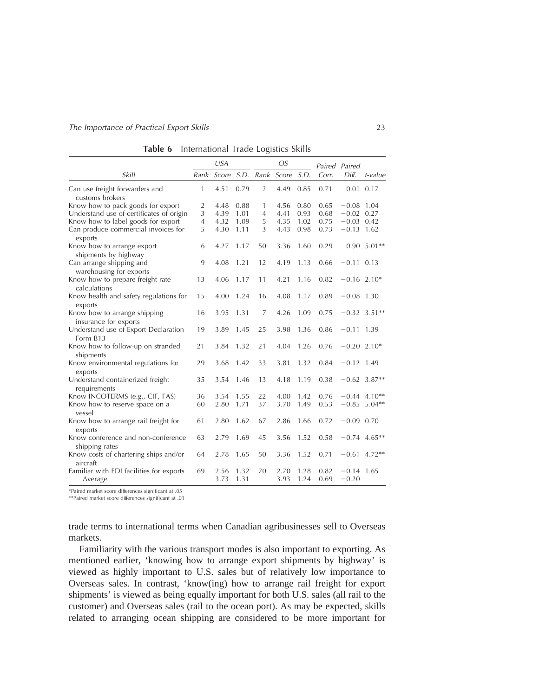|                                                      | <b>USA</b>     |              |              | OS             |                                 | Paired Paired |              |                         |                |
|------------------------------------------------------|----------------|--------------|--------------|----------------|---------------------------------|---------------|--------------|-------------------------|----------------|
| <b>Skill</b>                                         |                |              |              |                | Rank Score S.D. Rank Score S.D. |               | Corr.        | Diff.                   | t-value        |
| Can use freight forwarders and<br>customs brokers    | $\mathbf{1}$   | 4.51         | 0.79         | $\overline{2}$ | 4.49                            | 0.85          | 0.71         |                         | $0.01$ 0.17    |
| Know how to pack goods for export                    | $\overline{2}$ | 4.48         | 0.88         | 1              | 4.56                            | 0.80          | 0.65         | $-0.08$ 1.04            |                |
| Understand use of certificates of origin             | 3              | 4.39         | 1.01         | $\overline{4}$ | 4.41                            | 0.93          | 0.68         | $-0.02$                 | 0.27           |
| Know how to label goods for export                   | $\overline{4}$ | 4.32         | 1.09         | 5              | 4.35                            | 1.02          | 0.75         | $-0.03$ 0.42            |                |
| Can produce commercial invoices for<br>exports       | 5              | 4.30         | 1.11         | 3              | 4.43                            | 0.98          | 0.73         | $-0.13$                 | 1.62           |
| Know how to arrange export<br>shipments by highway   | 6              | 4.27         | 1.17         | 50             | 3.36                            | 1.60          | 0.29         | 0.90                    | $5.01**$       |
| Can arrange shipping and<br>warehousing for exports  | 9              | 4.08         | 1.21         | 12             | 4.19                            | 1.13          | 0.66         | $-0.11$                 | 0.13           |
| Know how to prepare freight rate<br>calculations     | 13             | 4.06         | 1.17         | 11             | 4.21                            | 1.16          | 0.82         | $-0.16$ 2.10*           |                |
| Know health and safety regulations for<br>exports    | 15             | 4.00         | 1.24         | 16             | 4.08                            | 1.17          | 0.89         | $-0.08$ 1.30            |                |
| Know how to arrange shipping                         | 16             | 3.95         | 1.31         | 7              | 4.26                            | 1.09          | 0.75         |                         | $-0.32$ 3.51** |
| insurance for exports                                |                |              |              |                |                                 |               |              |                         |                |
| Understand use of Export Declaration<br>Form B13     | 19             | 3.89         | 1.45         | 25             | 3.98                            | 1.36          | 0.86         | $-0.11$                 | 1.39           |
| Know how to follow-up on stranded<br>shipments       | 21             | 3.84         | 1.32         | 21             | 4.04                            | 1.26          | 0.76         | $-0.20$ 2.10*           |                |
| Know environmental regulations for<br>exports        | 29             | 3.68         | 1.42         | 33             | 3.81                            | 1.32          | 0.84         | $-0.12$                 | 1.49           |
| Understand containerized freight<br>requirements     | 35             | 3.54         | 1.46         | 13             | 4.18                            | 1.19          | 0.38         |                         | $-0.62$ 3.87** |
| Know INCOTERMS (e.g., CIF, FAS)                      | 36             | 3.54         | 1.55         | 22             | 4.00                            | 1.42          | 0.76         |                         | $-0.44$ 4.10** |
| Know how to reserve space on a<br>vessel             | 60             | 2.80         | 1.71         | 37             | 3.70                            | 1.49          | 0.53         | $-0.85$                 | $5.04**$       |
| Know how to arrange rail freight for<br>exports      | 61             | 2.80         | 1.62         | 67             | 2.86                            | 1.66          | 0.72         | $-0.09$ 0.70            |                |
| Know conference and non-conference<br>shipping rates | 63             | 2.79         | 1.69         | 45             | 3.56                            | 1.52          | 0.58         |                         | $-0.74$ 4.65** |
| Know costs of chartering ships and/or<br>aircraft    | 64             | 2.78         | 1.65         | 50             | 3.36                            | 1.52          | 0.71         | $-0.61$                 | $4.72**$       |
| Familiar with EDI facilities for exports<br>Average  | 69             | 2.56<br>3.73 | 1.32<br>1.31 | 70             | 2.70<br>3.93                    | 1.28<br>1.24  | 0.82<br>0.69 | $-0.14$ 1.65<br>$-0.20$ |                |

**Table 6** International Trade Logistics Skills

\*Paired market score differences significant at .05 \*\*Paired market score differences significant at .01

trade terms to international terms when Canadian agribusinesses sell to Overseas markets.

Familiarity with the various transport modes is also important to exporting. As mentioned earlier, 'knowing how to arrange export shipments by highway' is viewed as highly important to U.S. sales but of relatively low importance to Overseas sales. In contrast, 'know(ing) how to arrange rail freight for export shipments' is viewed as being equally important for both U.S. sales (all rail to the customer) and Overseas sales (rail to the ocean port). As may be expected, skills related to arranging ocean shipping are considered to be more important for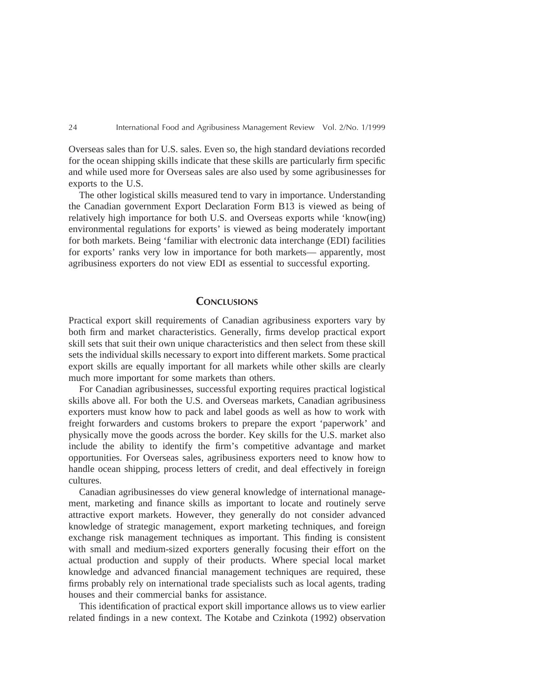Overseas sales than for U.S. sales. Even so, the high standard deviations recorded for the ocean shipping skills indicate that these skills are particularly firm specific and while used more for Overseas sales are also used by some agribusinesses for exports to the U.S.

The other logistical skills measured tend to vary in importance. Understanding the Canadian government Export Declaration Form B13 is viewed as being of relatively high importance for both U.S. and Overseas exports while 'know(ing) environmental regulations for exports' is viewed as being moderately important for both markets. Being 'familiar with electronic data interchange (EDI) facilities for exports' ranks very low in importance for both markets— apparently, most agribusiness exporters do not view EDI as essential to successful exporting.

#### **CONCLUSIONS**

Practical export skill requirements of Canadian agribusiness exporters vary by both firm and market characteristics. Generally, firms develop practical export skill sets that suit their own unique characteristics and then select from these skill sets the individual skills necessary to export into different markets. Some practical export skills are equally important for all markets while other skills are clearly much more important for some markets than others.

For Canadian agribusinesses, successful exporting requires practical logistical skills above all. For both the U.S. and Overseas markets, Canadian agribusiness exporters must know how to pack and label goods as well as how to work with freight forwarders and customs brokers to prepare the export 'paperwork' and physically move the goods across the border. Key skills for the U.S. market also include the ability to identify the firm's competitive advantage and market opportunities. For Overseas sales, agribusiness exporters need to know how to handle ocean shipping, process letters of credit, and deal effectively in foreign cultures.

Canadian agribusinesses do view general knowledge of international management, marketing and finance skills as important to locate and routinely serve attractive export markets. However, they generally do not consider advanced knowledge of strategic management, export marketing techniques, and foreign exchange risk management techniques as important. This finding is consistent with small and medium-sized exporters generally focusing their effort on the actual production and supply of their products. Where special local market knowledge and advanced financial management techniques are required, these firms probably rely on international trade specialists such as local agents, trading houses and their commercial banks for assistance.

This identification of practical export skill importance allows us to view earlier related findings in a new context. The Kotabe and Czinkota (1992) observation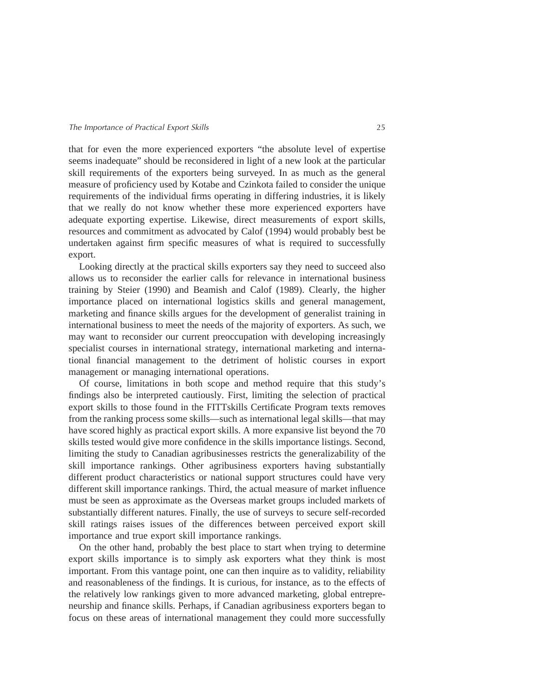that for even the more experienced exporters "the absolute level of expertise seems inadequate" should be reconsidered in light of a new look at the particular skill requirements of the exporters being surveyed. In as much as the general measure of proficiency used by Kotabe and Czinkota failed to consider the unique requirements of the individual firms operating in differing industries, it is likely that we really do not know whether these more experienced exporters have adequate exporting expertise. Likewise, direct measurements of export skills, resources and commitment as advocated by Calof (1994) would probably best be undertaken against firm specific measures of what is required to successfully export.

Looking directly at the practical skills exporters say they need to succeed also allows us to reconsider the earlier calls for relevance in international business training by Steier (1990) and Beamish and Calof (1989). Clearly, the higher importance placed on international logistics skills and general management, marketing and finance skills argues for the development of generalist training in international business to meet the needs of the majority of exporters. As such, we may want to reconsider our current preoccupation with developing increasingly specialist courses in international strategy, international marketing and international financial management to the detriment of holistic courses in export management or managing international operations.

Of course, limitations in both scope and method require that this study's findings also be interpreted cautiously. First, limiting the selection of practical export skills to those found in the FITTskills Certificate Program texts removes from the ranking process some skills—such as international legal skills—that may have scored highly as practical export skills. A more expansive list beyond the 70 skills tested would give more confidence in the skills importance listings. Second, limiting the study to Canadian agribusinesses restricts the generalizability of the skill importance rankings. Other agribusiness exporters having substantially different product characteristics or national support structures could have very different skill importance rankings. Third, the actual measure of market influence must be seen as approximate as the Overseas market groups included markets of substantially different natures. Finally, the use of surveys to secure self-recorded skill ratings raises issues of the differences between perceived export skill importance and true export skill importance rankings.

On the other hand, probably the best place to start when trying to determine export skills importance is to simply ask exporters what they think is most important. From this vantage point, one can then inquire as to validity, reliability and reasonableness of the findings. It is curious, for instance, as to the effects of the relatively low rankings given to more advanced marketing, global entrepreneurship and finance skills. Perhaps, if Canadian agribusiness exporters began to focus on these areas of international management they could more successfully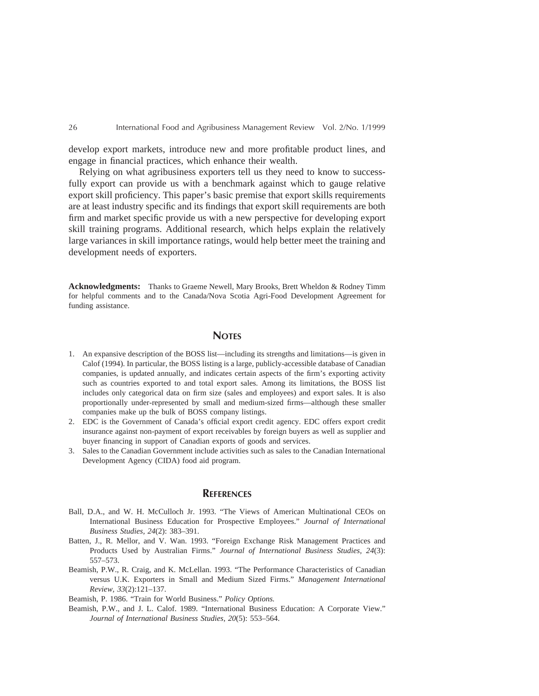develop export markets, introduce new and more profitable product lines, and engage in financial practices, which enhance their wealth.

Relying on what agribusiness exporters tell us they need to know to successfully export can provide us with a benchmark against which to gauge relative export skill proficiency. This paper's basic premise that export skills requirements are at least industry specific and its findings that export skill requirements are both firm and market specific provide us with a new perspective for developing export skill training programs. Additional research, which helps explain the relatively large variances in skill importance ratings, would help better meet the training and development needs of exporters.

**Acknowledgments:** Thanks to Graeme Newell, Mary Brooks, Brett Wheldon & Rodney Timm for helpful comments and to the Canada/Nova Scotia Agri-Food Development Agreement for funding assistance.

### **NOTES**

- 1. An expansive description of the BOSS list—including its strengths and limitations—is given in Calof (1994). In particular, the BOSS listing is a large, publicly-accessible database of Canadian companies, is updated annually, and indicates certain aspects of the firm's exporting activity such as countries exported to and total export sales. Among its limitations, the BOSS list includes only categorical data on firm size (sales and employees) and export sales. It is also proportionally under-represented by small and medium-sized firms—although these smaller companies make up the bulk of BOSS company listings.
- 2. EDC is the Government of Canada's official export credit agency. EDC offers export credit insurance against non-payment of export receivables by foreign buyers as well as supplier and buyer financing in support of Canadian exports of goods and services.
- 3. Sales to the Canadian Government include activities such as sales to the Canadian International Development Agency (CIDA) food aid program.

#### **REFERENCES**

- Ball, D.A., and W. H. McCulloch Jr. 1993. "The Views of American Multinational CEOs on International Business Education for Prospective Employees." *Journal of International Business Studies, 24*(2): 383–391.
- Batten, J., R. Mellor, and V. Wan. 1993. "Foreign Exchange Risk Management Practices and Products Used by Australian Firms." *Journal of International Business Studies, 24*(3): 557–573.
- Beamish, P.W., R. Craig, and K. McLellan. 1993. "The Performance Characteristics of Canadian versus U.K. Exporters in Small and Medium Sized Firms." *Management International Review, 33*(2):121–137.
- Beamish, P. 1986. "Train for World Business." *Policy Options.*
- Beamish, P.W., and J. L. Calof. 1989. "International Business Education: A Corporate View." *Journal of International Business Studies, 20*(5): 553–564.